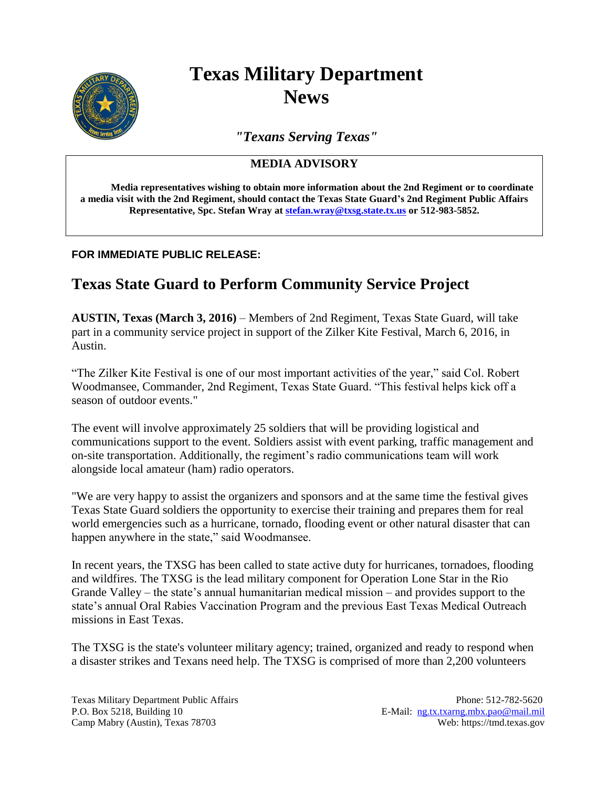

## **Texas Military Department News**

*"Texans Serving Texas"*

## **MEDIA ADVISORY**

**Media representatives wishing to obtain more information about the 2nd Regiment or to coordinate a media visit with the 2nd Regiment, should contact the Texas State Guard's 2nd Regiment Public Affairs Representative, Spc. Stefan Wray at [stefan.wray@txsg.state.tx.us](mailto:stefan.wray@txsg.state.tx.us) or 512-983-5852.**

## **FOR IMMEDIATE PUBLIC RELEASE:**

## **Texas State Guard to Perform Community Service Project**

**AUSTIN, Texas (March 3, 2016)** – Members of 2nd Regiment, Texas State Guard, will take part in a community service project in support of the Zilker Kite Festival, March 6, 2016, in Austin.

"The Zilker Kite Festival is one of our most important activities of the year," said Col. Robert Woodmansee, Commander, 2nd Regiment, Texas State Guard. "This festival helps kick off a season of outdoor events."

The event will involve approximately 25 soldiers that will be providing logistical and communications support to the event. Soldiers assist with event parking, traffic management and on-site transportation. Additionally, the regiment's radio communications team will work alongside local amateur (ham) radio operators.

"We are very happy to assist the organizers and sponsors and at the same time the festival gives Texas State Guard soldiers the opportunity to exercise their training and prepares them for real world emergencies such as a hurricane, tornado, flooding event or other natural disaster that can happen anywhere in the state," said Woodmansee.

In recent years, the TXSG has been called to state active duty for hurricanes, tornadoes, flooding and wildfires. The TXSG is the lead military component for Operation Lone Star in the Rio Grande Valley – the state's annual humanitarian medical mission – and provides support to the state's annual Oral Rabies Vaccination Program and the previous East Texas Medical Outreach missions in East Texas.

The TXSG is the state's volunteer military agency; trained, organized and ready to respond when a disaster strikes and Texans need help. The TXSG is comprised of more than 2,200 volunteers

Texas Military Department Public Affairs Phone: 512-782-5620 P.O. Box 5218, Building 10 E-Mail: [ng.tx.txarng.mbx.pao@mail.mil](mailto:ng.tx.txarng.mbx.pao@mail.mil) Camp Mabry (Austin), Texas 78703 Web: https://tmd.texas.gov